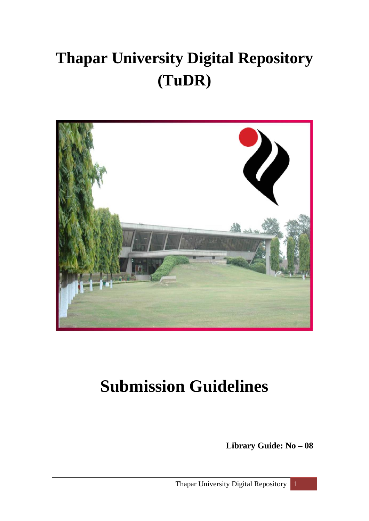# **Thapar University Digital Repository (TuDR)**



# **Submission Guidelines**

**Library Guide: No – 08**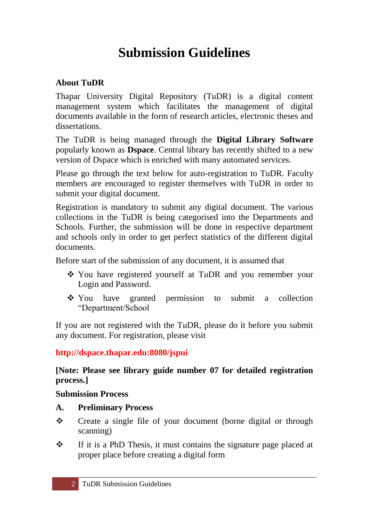# **Submission Guidelines**

## **About TuDR**

Thapar University Digital Repository (TuDR) is a digital content management system which facilitates the management of digital documents available in the form of research articles, electronic theses and dissertations.

The TuDR is being managed through the **Digital Library Software** popularly known as **Dspace**. Central library has recently shifted to a new version of Dspace which is enriched with many automated services.

Please go through the text below for auto-registration to TuDR. Faculty members are encouraged to register themselves with TuDR in order to submit your digital document.

Registration is mandatory to submit any digital document. The various collections in the TuDR is being categorised into the Departments and Schools. Further, the submission will be done in respective department and schools only in order to get perfect statistics of the different digital documents.

Before start of the submission of any document, it is assumed that

- You have registered yourself at T*u*DR and you remember your Login and Password.
- You have granted permission to submit a collection "Department/School

If you are not registered with the T*u*DR, please do it before you submit any document. For registration, please visit

**<http://dspace.thapar.edu:8080/jspui>**

### **[Note: Please see library guide number 07 for detailed registration process.]**

#### **Submission Process**

- **A. Preliminary Process**
- \* Create a single file of your document (borne digital or through scanning)
- $\mathbf{\hat{P}}$  If it is a PhD Thesis, it must contains the signature page placed at proper place before creating a digital form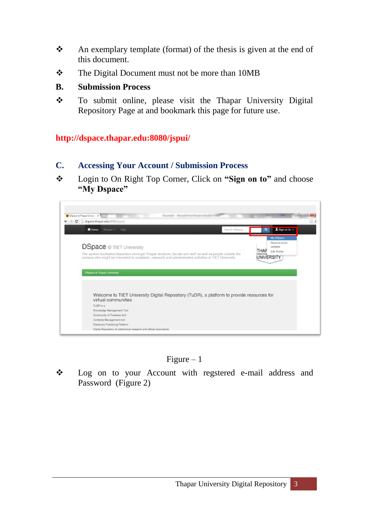- \* An exemplary template (format) of the thesis is given at the end of this document.
- \* The Digital Document must not be more than 10MB

#### **B. Submission Process**

\* To submit online, please visit the Thapar University Digital Repository Page at and bookmark this page for future use.

#### **<http://dspace.thapar.edu:8080/jspui/>**

- **C. Accessing Your Account / Submission Process**
- Login to On Right Top Corner, Click on **"Sign on to"** and choose **"My Dspace"**





\* Log on to your Account with regstered e-mail address and Password (Figure 2)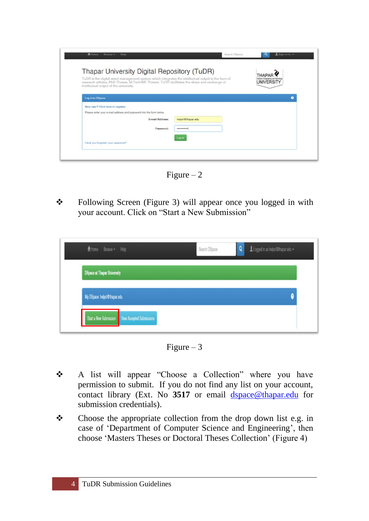| Thapar University Digital Repository (TuDR)                                                                                                                                                        |                 |                   |                                                   |   |
|----------------------------------------------------------------------------------------------------------------------------------------------------------------------------------------------------|-----------------|-------------------|---------------------------------------------------|---|
| TuDR is the digital asset management system which integrates the intellectual output in the form of<br>research articles, PhD Theses, M.Tech/ME Theses. TuDR facilitates the share and exchange of |                 |                   | Institute of Engineering and<br><b>UNIVERSITY</b> |   |
| intellectual output of the university.                                                                                                                                                             |                 |                   |                                                   |   |
|                                                                                                                                                                                                    |                 |                   |                                                   | 0 |
| Log In to DSpace                                                                                                                                                                                   |                 |                   |                                                   |   |
| New user? Click here to register.                                                                                                                                                                  |                 |                   |                                                   |   |
| Please enter your e-mail address and password into the form below.                                                                                                                                 |                 |                   |                                                   |   |
|                                                                                                                                                                                                    | E-mail Address: | helpol@thapar.edu |                                                   |   |
|                                                                                                                                                                                                    | Password:       | ------------      |                                                   |   |
|                                                                                                                                                                                                    |                 |                   |                                                   |   |
|                                                                                                                                                                                                    |                 | Log In            |                                                   |   |

Figure  $-2$ 

\* Following Screen (Figure 3) will appear once you logged in with your account. Click on "Start a New Submission"

| <del></del> Home Browse • Help                   | $\Omega$<br>Logged in as helpol@thapar.edu +<br>Search DSpace |  |
|--------------------------------------------------|---------------------------------------------------------------|--|
| <b>DSpace at Thapar University</b>               |                                                               |  |
| My DSpace: helpcl@thapar.edu                     |                                                               |  |
| Start a New Submission View Accepted Submissions |                                                               |  |



- A list will appear "Choose a Collection" where you have permission to submit. If you do not find any list on your account, contact library (Ext. No **3517** or email [dspace@thapar.edu](mailto:dspace@thapar.edu) for submission credentials).
- $\bullet$  Choose the appropriate collection from the drop down list e.g. in case of 'Department of Computer Science and Engineering', then choose "Masters Theses or Doctoral Theses Collection" (Figure 4)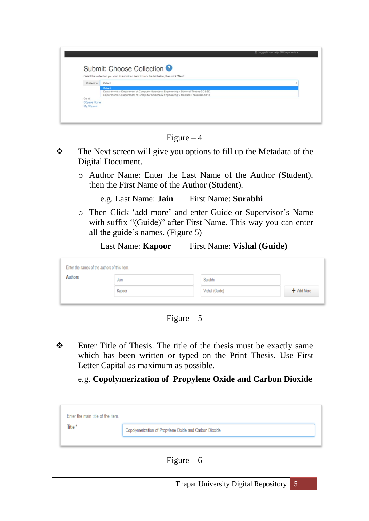|            | Submit: Choose Collection <sup>9</sup><br>Select the collection you wish to submit an item to from the list below, then click "Next".                                                   |  |
|------------|-----------------------------------------------------------------------------------------------------------------------------------------------------------------------------------------|--|
| Collection | Select                                                                                                                                                                                  |  |
|            | <b>Select</b><br>Departments > Department of Computer Science & Engineering > Doctoral Theses @CSED<br>Departments > Department of Computer Science & Engineering > Masters Theses@CSED |  |

Figure  $-4$ 

- The Next screen will give you options to fill up the Metadata of the Digital Document.
	- o Author Name: Enter the Last Name of the Author (Student), then the First Name of the Author (Student).
		- e.g. Last Name: **Jain** First Name: **Surabhi**
	- o Then Click "add more" and enter Guide or Supervisor"s Name with suffix "(Guide)" after First Name. This way you can enter all the guide"s names. (Figure 5)

#### Last Name: **Kapoor** First Name: **Vishal (Guide)**

| Enter the names of the authors of this item. |        |                |            |
|----------------------------------------------|--------|----------------|------------|
| <b>Authors</b>                               | Jain   | Surabhi        |            |
|                                              | Kapoor | Vishal (Guide) | + Add More |
|                                              |        |                |            |

Figure  $-5$ 

 Enter Title of Thesis. The title of the thesis must be exactly same which has been written or typed on the Print Thesis. Use First Letter Capital as maximum as possible.

### e.g. **Copolymerization of Propylene Oxide and Carbon Dioxide**

| Enter the main title of the item. |                                                        |
|-----------------------------------|--------------------------------------------------------|
| Title <sup>*</sup>                | Copolymerization of Propylene Oxide and Carbon Dioxide |
|                                   |                                                        |

Figure –  $6$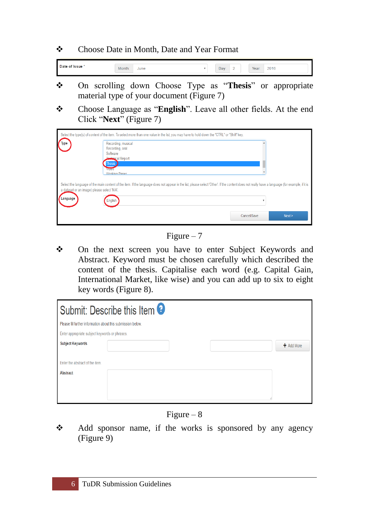\* Choose Date in Month, Date and Year Format

Date of Issue \* Day:  $2$ Year: 2016 Month: June  $\overline{\mathbf{v}}$ 

- On scrolling down Choose Type as "**Thesis**" or appropriate material type of your document (Figure 7)
- \* Choose Language as "**English**". Leave all other fields. At the end Click "**Next**" (Figure 7)

| <b>Type</b>                                             | Select the type(s) of content of the item. To select more than one value in the list, you may have to hold down the "CTRL" or "Shift" key.<br>Recording, musical<br>Recording, oral<br>Software<br><b>echaical Report</b><br><b>Thesis</b><br>Viueo<br><b>Morking Paner</b> |             |        |
|---------------------------------------------------------|-----------------------------------------------------------------------------------------------------------------------------------------------------------------------------------------------------------------------------------------------------------------------------|-------------|--------|
| a dataset or an image) please select 'N/A'.<br>Language | Select the language of the main content of the item. If the language does not appear in the list, please select 'Other'. If the content does not really have a language (for example, if it is<br>English                                                                   | Cancel/Save | Next > |

Figure  $-7$ 

 On the next screen you have to enter Subject Keywords and Abstract. Keyword must be chosen carefully which described the content of the thesis. Capitalise each word (e.g. Capital Gain, International Market, like wise) and you can add up to six to eight key words (Figure 8).

|                                                              | Submit: Describe this Item $\boldsymbol{\Theta}$ |  |              |
|--------------------------------------------------------------|--------------------------------------------------|--|--------------|
| Please fill further information about this submission below. |                                                  |  |              |
| Enter appropriate subject keywords or phrases.               |                                                  |  |              |
| <b>Subject Keywords</b>                                      |                                                  |  | $+$ Add More |
|                                                              |                                                  |  |              |
| Enter the abstract of the item.                              |                                                  |  |              |
| <b>Abstract</b>                                              |                                                  |  |              |
|                                                              |                                                  |  |              |
|                                                              |                                                  |  |              |
|                                                              |                                                  |  |              |



Add sponsor name, if the works is sponsored by any agency (Figure 9)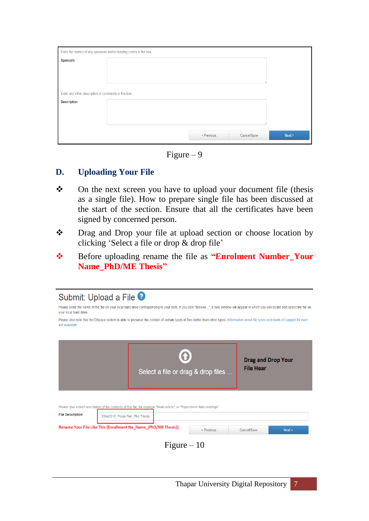|                                                      | Enter the names of any sponsors and/or funding codes in the box. |            |             |        |
|------------------------------------------------------|------------------------------------------------------------------|------------|-------------|--------|
| <b>Sponsors</b>                                      |                                                                  |            |             |        |
|                                                      |                                                                  |            |             |        |
|                                                      |                                                                  |            |             |        |
| Enter any other description or comments in this box. |                                                                  |            |             |        |
|                                                      |                                                                  |            |             |        |
| <b>Description</b>                                   |                                                                  |            |             |        |
|                                                      |                                                                  |            |             |        |
|                                                      |                                                                  |            |             |        |
|                                                      |                                                                  |            |             |        |
|                                                      |                                                                  | < Previous | Cancel/Save | Next > |
|                                                      |                                                                  |            |             |        |

Figure  $-9$ 

#### **D. Uploading Your File**

- \* On the next screen you have to upload your document file (thesis as a single file). How to prepare single file has been discussed at the start of the section. Ensure that all the certificates have been signed by concerned person.
- Drag and Drop your file at upload section or choose location by clicking "Select a file or drop & drop file"
- Before uploading rename the file as **"Enrolment Number\_Your Name\_PhD/ME Thesis"**

| Submit: Upload a File <sup>9</sup> |                                |                                                                                                                                                                                        |            |                                               |        |
|------------------------------------|--------------------------------|----------------------------------------------------------------------------------------------------------------------------------------------------------------------------------------|------------|-----------------------------------------------|--------|
| your local hard drive.             |                                | Please enter the name of the file on your local hard drive corresponding to your item. If you click "Browse", a new window will appear in which you can locate and select the file on  |            |                                               |        |
| are available.                     |                                | Please also note that the DSpace system is able to preserve the content of certain types of files better than other types. Information about file types and levels of support for each |            |                                               |        |
|                                    |                                |                                                                                                                                                                                        |            |                                               |        |
|                                    |                                | Select a file or drag & drop files                                                                                                                                                     |            | <b>Drag and Drop Your</b><br><b>File Hear</b> |        |
|                                    |                                | Please give a brief description of the contents of this file, for example "Main article", or "Experiment data readings".                                                               |            |                                               |        |
| <b>File Description:</b>           | 09643210 Pooja Puri Phd Thesis |                                                                                                                                                                                        |            |                                               |        |
|                                    |                                | Rename Your File Like This [Enrollment No_Name_(PhD/ME Thesis)]                                                                                                                        | < Previous | Cancel/Save                                   | Next > |
|                                    |                                | Figure $-10$                                                                                                                                                                           |            |                                               |        |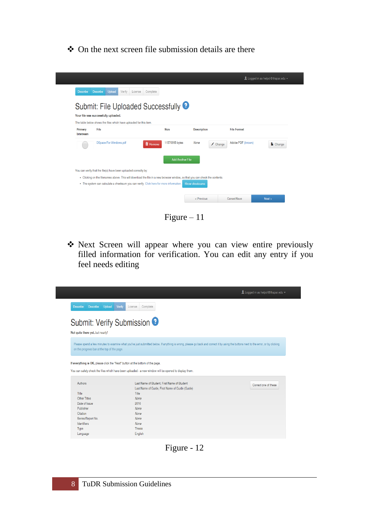#### On the next screen file submission details are there

|                                                                                                                                                                                                                         |                                                                                                                                                                                                                       |                       |                    | Logged in as helpcl@thapar.edu v |
|-------------------------------------------------------------------------------------------------------------------------------------------------------------------------------------------------------------------------|-----------------------------------------------------------------------------------------------------------------------------------------------------------------------------------------------------------------------|-----------------------|--------------------|----------------------------------|
| <b>Upload</b><br><b>Describe</b><br>Describe<br>Verify<br>Submit: File Uploaded Successfully <sup>9</sup><br>Your file was successfully uploaded.<br>The table below shows the files which have uploaded for this item. | License<br>Complete                                                                                                                                                                                                   |                       |                    |                                  |
| File<br>Primary<br>bitstream                                                                                                                                                                                            | <b>Size</b>                                                                                                                                                                                                           | <b>Description</b>    | <b>File Format</b> |                                  |
| <b>DSpace For Windows.pdf</b>                                                                                                                                                                                           | 11570995 bytes<br><b>前 Remove</b>                                                                                                                                                                                     | None<br>/ Change      | Adobe PDF (known)  | Change                           |
|                                                                                                                                                                                                                         | <b>Add Another File</b>                                                                                                                                                                                               |                       |                    |                                  |
| You can verify that the file(s) have been uploaded correctly by:                                                                                                                                                        |                                                                                                                                                                                                                       |                       |                    |                                  |
|                                                                                                                                                                                                                         | . Clicking on the filenames above. This will download the file in a new browser window, so that you can check the contents.<br>. The system can calculate a checksum you can verify. Click here for more information. | <b>Show checksums</b> |                    |                                  |
|                                                                                                                                                                                                                         |                                                                                                                                                                                                                       | < Previous            | Cancel/Save        | Next                             |

Figure – 11

 Next Screen will appear where you can view entire previously filled information for verification. You can edit any entry if you feel needs editing

|                                             |                                                                                                                                                                                    | Logged in as helpcl@thapar.edu + |
|---------------------------------------------|------------------------------------------------------------------------------------------------------------------------------------------------------------------------------------|----------------------------------|
| Upload<br>Describe<br>Describe              | Verify<br>Complete<br>License                                                                                                                                                      |                                  |
| Not quite there yet, but nearly!            | Submit: Verify Submission <sup>9</sup>                                                                                                                                             |                                  |
|                                             | Please spend a few minutes to examine what you've just submitted below. If anything is wrong, please go back and correct it by using the buttons next to the error, or by clicking |                                  |
| on the progress bar at the top of the page. |                                                                                                                                                                                    |                                  |
|                                             |                                                                                                                                                                                    |                                  |
|                                             |                                                                                                                                                                                    |                                  |
|                                             | If everything is OK, please click the "Next" button at the bottom of the page.                                                                                                     |                                  |
|                                             | You can safely check the files which have been uploaded - a new window will be opened to display them.                                                                             |                                  |
| Authors                                     | Last Name of Student, First Name of Student                                                                                                                                        |                                  |
|                                             | Last Name of Guide, First Name of Guide (Guide)                                                                                                                                    | Correct one of these             |
| Title                                       | Title                                                                                                                                                                              |                                  |
| Other Titles                                | None                                                                                                                                                                               |                                  |
| Date of Issue                               | 2016                                                                                                                                                                               |                                  |
| Publisher                                   | None                                                                                                                                                                               |                                  |
| Citation                                    | None                                                                                                                                                                               |                                  |
|                                             | None                                                                                                                                                                               |                                  |
| Series/Report No.<br>Identifiers            | None                                                                                                                                                                               |                                  |
| Type                                        | Thesis                                                                                                                                                                             |                                  |

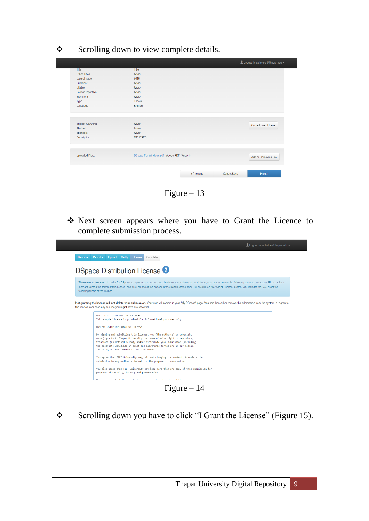Scrolling down to view complete details.

|                                                         |                                            |            |             | Logged in as helpcl@thapar.edu - |  |
|---------------------------------------------------------|--------------------------------------------|------------|-------------|----------------------------------|--|
| Title                                                   | Title                                      |            |             |                                  |  |
| Other Titles                                            | None                                       |            |             |                                  |  |
| Date of Issue                                           | 2016                                       |            |             |                                  |  |
| Publisher                                               | None                                       |            |             |                                  |  |
| Citation                                                | None                                       |            |             |                                  |  |
| Series/Report No.                                       | None                                       |            |             |                                  |  |
| Identifiers                                             | None                                       |            |             |                                  |  |
| Type                                                    | Thesis                                     |            |             |                                  |  |
| Language                                                | English                                    |            |             |                                  |  |
| Subject Keywords<br>Abstract<br>Sponsors<br>Description | None<br>None<br>None<br>ME, CSED           |            |             | Correct one of these             |  |
| <b>Uploaded Files:</b>                                  | DSpace For Windows.pdf - Adobe PDF (Known) |            |             | Add or Remove a File             |  |
|                                                         |                                            | < Previous | Cancel/Save | Next                             |  |

Figure – 13

 Next screen appears where you have to Grant the Licence to complete submission process.

| Logged in as helpcl@thapar.edu -                                                                                                                                                                                                                                                                                                                                                                      |  |
|-------------------------------------------------------------------------------------------------------------------------------------------------------------------------------------------------------------------------------------------------------------------------------------------------------------------------------------------------------------------------------------------------------|--|
| Describe Upload Verify<br>Complete<br><b>Describe</b><br>License                                                                                                                                                                                                                                                                                                                                      |  |
| DSpace Distribution License <sup>9</sup>                                                                                                                                                                                                                                                                                                                                                              |  |
| There is one last step: In order for DSpace to reproduce, translate and distribute your submission worldwide, your agreement to the following terms is necessary. Please take a<br>moment to read the terms of this license, and click on one of the buttons at the bottom of the page. By clicking on the "Grant License" button, you indicate that you grant the<br>following terms of the license. |  |
| Not granting the license will not delete your submission. Your item will remain in your "My DSpace" page. You can then either remove the submission from the system, or agree to<br>the license later once any queries you might have are resolved.                                                                                                                                                   |  |
| NOTE: PLACE YOUR ONN LICENSE HERE<br>This sample license is provided for informational purposes only.                                                                                                                                                                                                                                                                                                 |  |
| NON-EXCLUSIVE DISTRIBUTION LICENSE                                                                                                                                                                                                                                                                                                                                                                    |  |
| By signing and submitting this license, you (the author(s) or copyright<br>owner) grants to Thapar University the non-exclusive right to reproduce,<br>translate (as defined below), and/or distribute your submission (including<br>the abstract) worldwide in print and electronic format and in any medium,<br>including but not limited to audio or video.                                        |  |
| You agree that TIET University may, without changing the content, translate the<br>submission to any medium or format for the purpose of preservation.                                                                                                                                                                                                                                                |  |
| You also agree that TIET University may keep more than one copy of this submission for<br>purposes of security, back-up and preservation.                                                                                                                                                                                                                                                             |  |
| the contract of the contract and con-                                                                                                                                                                                                                                                                                                                                                                 |  |
| Figure $-14$                                                                                                                                                                                                                                                                                                                                                                                          |  |

Scrolling down you have to click "I Grant the License" (Figure 15).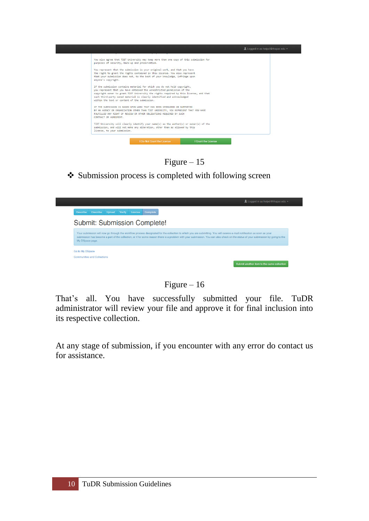

Figure – 15

❖ Submission process is completed with following screen



Figure  $-16$ 

That's all. You have successfully submitted your file. TuDR administrator will review your file and approve it for final inclusion into its respective collection.

At any stage of submission, if you encounter with any error do contact us for assistance.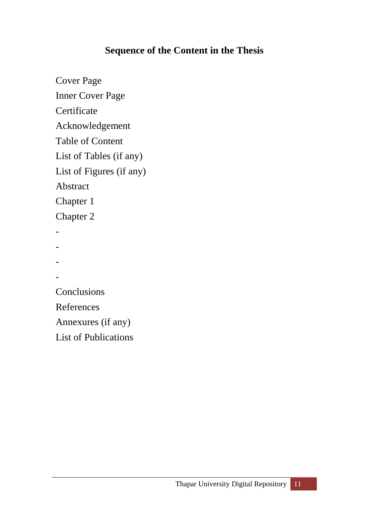## **Sequence of the Content in the Thesis**

Cover Page Inner Cover Page **Certificate** Acknowledgement Table of Content List of Tables (if any) List of Figures (if any) Abstract Chapter 1 Chapter 2 - - - - Conclusions References Annexures (if any) List of Publications